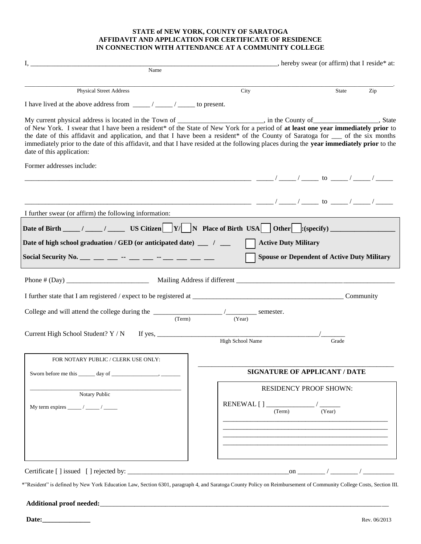#### **STATE of NEW YORK, COUNTY OF SARATOGA AFFIDAVIT AND APPLICATION FOR CERTIFICATE OF RESIDENCE IN CONNECTION WITH ATTENDANCE AT A COMMUNITY COLLEGE**

| Name                                                                                                                                                                                                                                                                                                                                                                                                                                                                                                                                                                     |                  |                                                    |
|--------------------------------------------------------------------------------------------------------------------------------------------------------------------------------------------------------------------------------------------------------------------------------------------------------------------------------------------------------------------------------------------------------------------------------------------------------------------------------------------------------------------------------------------------------------------------|------------------|----------------------------------------------------|
|                                                                                                                                                                                                                                                                                                                                                                                                                                                                                                                                                                          |                  |                                                    |
| <b>Physical Street Address</b>                                                                                                                                                                                                                                                                                                                                                                                                                                                                                                                                           | City             | State<br>Zip                                       |
|                                                                                                                                                                                                                                                                                                                                                                                                                                                                                                                                                                          |                  |                                                    |
| My current physical address is located in the Town of _______________________, in the County of _______________, State<br>of New York. I swear that I have been a resident* of the State of New York for a period of at least one year immediately prior to<br>the date of this affidavit and application, and that I have been a resident* of the County of Saratoga for __ of the six months<br>immediately prior to the date of this affidavit, and that I have resided at the following places during the year immediately prior to the<br>date of this application: |                  |                                                    |
| Former addresses include:                                                                                                                                                                                                                                                                                                                                                                                                                                                                                                                                                |                  |                                                    |
|                                                                                                                                                                                                                                                                                                                                                                                                                                                                                                                                                                          |                  |                                                    |
|                                                                                                                                                                                                                                                                                                                                                                                                                                                                                                                                                                          |                  |                                                    |
| I further swear (or affirm) the following information:                                                                                                                                                                                                                                                                                                                                                                                                                                                                                                                   |                  |                                                    |
|                                                                                                                                                                                                                                                                                                                                                                                                                                                                                                                                                                          |                  | <b>Spouse or Dependent of Active Duty Military</b> |
|                                                                                                                                                                                                                                                                                                                                                                                                                                                                                                                                                                          |                  |                                                    |
|                                                                                                                                                                                                                                                                                                                                                                                                                                                                                                                                                                          |                  | Community                                          |
|                                                                                                                                                                                                                                                                                                                                                                                                                                                                                                                                                                          |                  |                                                    |
| College and will attend the college during the $\frac{1}{(Term)}$ (Term) semester.<br>Current High School Student? Y / N<br>If yes, $\frac{1}{2}$                                                                                                                                                                                                                                                                                                                                                                                                                        | High School Name | Grade                                              |
| FOR NOTARY PUBLIC / CLERK USE ONLY:                                                                                                                                                                                                                                                                                                                                                                                                                                                                                                                                      |                  |                                                    |
|                                                                                                                                                                                                                                                                                                                                                                                                                                                                                                                                                                          |                  | <b>SIGNATURE OF APPLICANT / DATE</b>               |
|                                                                                                                                                                                                                                                                                                                                                                                                                                                                                                                                                                          |                  | <b>RESIDENCY PROOF SHOWN:</b>                      |
| Notary Public                                                                                                                                                                                                                                                                                                                                                                                                                                                                                                                                                            | (Term)           | (Year)                                             |
|                                                                                                                                                                                                                                                                                                                                                                                                                                                                                                                                                                          |                  |                                                    |
|                                                                                                                                                                                                                                                                                                                                                                                                                                                                                                                                                                          |                  |                                                    |

**Additional proof needed:**\_\_\_\_\_\_\_\_\_\_\_\_\_\_\_\_\_\_\_\_\_\_\_\_\_\_\_\_\_\_\_\_\_\_\_\_\_\_\_\_\_\_\_\_\_\_\_\_\_\_\_\_\_\_\_\_\_\_\_\_\_\_\_\_\_\_\_\_\_\_\_\_\_\_\_\_\_\_\_\_\_\_\_\_